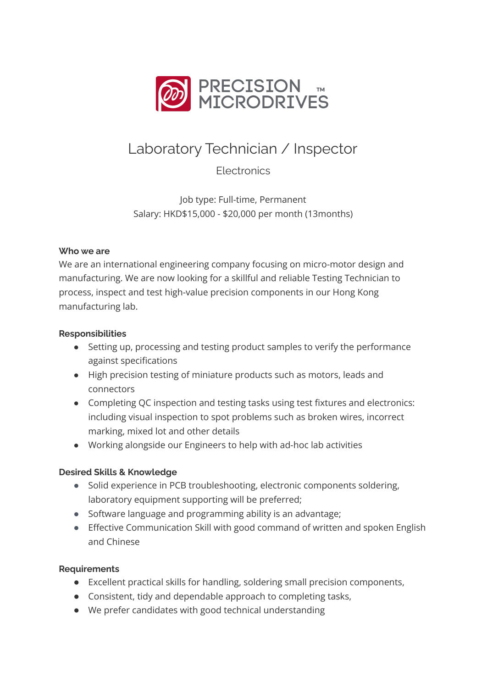

# Laboratory Technician / Inspector

**Electronics** 

Job type: Full-time, Permanent Salary: HKD\$15,000 - \$20,000 per month (13months)

# **Who we are**

We are an international engineering company focusing on micro-motor design and manufacturing. We are now looking for a skillful and reliable Testing Technician to process, inspect and test high-value precision components in our Hong Kong manufacturing lab.

# **Responsibilities**

- Setting up, processing and testing product samples to verify the performance against specifications
- High precision testing of miniature products such as motors, leads and connectors
- Completing QC inspection and testing tasks using test fixtures and electronics: including visual inspection to spot problems such as broken wires, incorrect marking, mixed lot and other details
- Working alongside our Engineers to help with ad-hoc lab activities

# **Desired Skills & Knowledge**

- Solid experience in PCB troubleshooting, electronic components soldering, laboratory equipment supporting will be preferred;
- Software language and programming ability is an advantage;
- Effective Communication Skill with good command of written and spoken English and Chinese

# **Requirements**

- Excellent practical skills for handling, soldering small precision components,
- Consistent, tidy and dependable approach to completing tasks,
- We prefer candidates with good technical understanding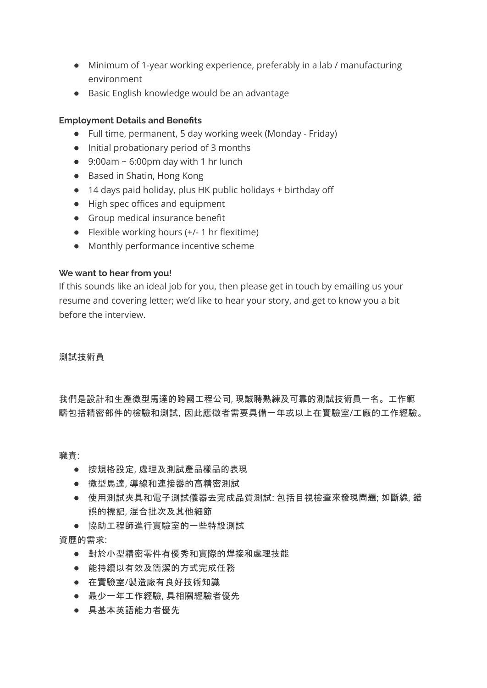- Minimum of 1-year working experience, preferably in a lab / manufacturing environment
- Basic English knowledge would be an advantage

#### **Employment Details and Benefits**

- Full time, permanent, 5 day working week (Monday Friday)
- Initial probationary period of 3 months
- $\bullet$  9:00am ~ 6:00pm day with 1 hr lunch
- Based in Shatin, Hong Kong
- 14 days paid holiday, plus HK public holidays + birthday off
- High spec offices and equipment
- Group medical insurance benefit
- Flexible working hours (+/- 1 hr flexitime)
- Monthly performance incentive scheme

#### **We want to hear from you!**

If this sounds like an ideal job for you, then please get in touch by emailing us your resume and covering letter; we'd like to hear your story, and get to know you a bit before the interview.

#### 測試技術員

我們是設計和生產微型馬達的跨國工程公司, 現誠聘熟練及可靠的測試技術員一名。工作範 疇包括精密部件的檢驗和測試,因此應徵者需要具備一年或以上在實驗室/工廠的工作經驗。

職責:

- 按規格設定, 處理及測試產品樣品的表現
- 微型馬達, 導線和連接器的高精密測試
- 使用測試夾具和電子測試儀器去完成品質測試: 包括目視檢查來發現問題; 如斷線, 錯 誤的標記, 混合批次及其他細節
- 協助工程師進行實驗室的一些特設測試

資歷的需求:

- 對於小型精密零件有優秀和實際的焊接和處理技能
- 能持續以有效及簡潔的方式完成任務
- 在實驗室/製造廠有良好技術知識
- 最少一年工作經驗, 具相關經驗者優先
- 具基本英語能力者優先